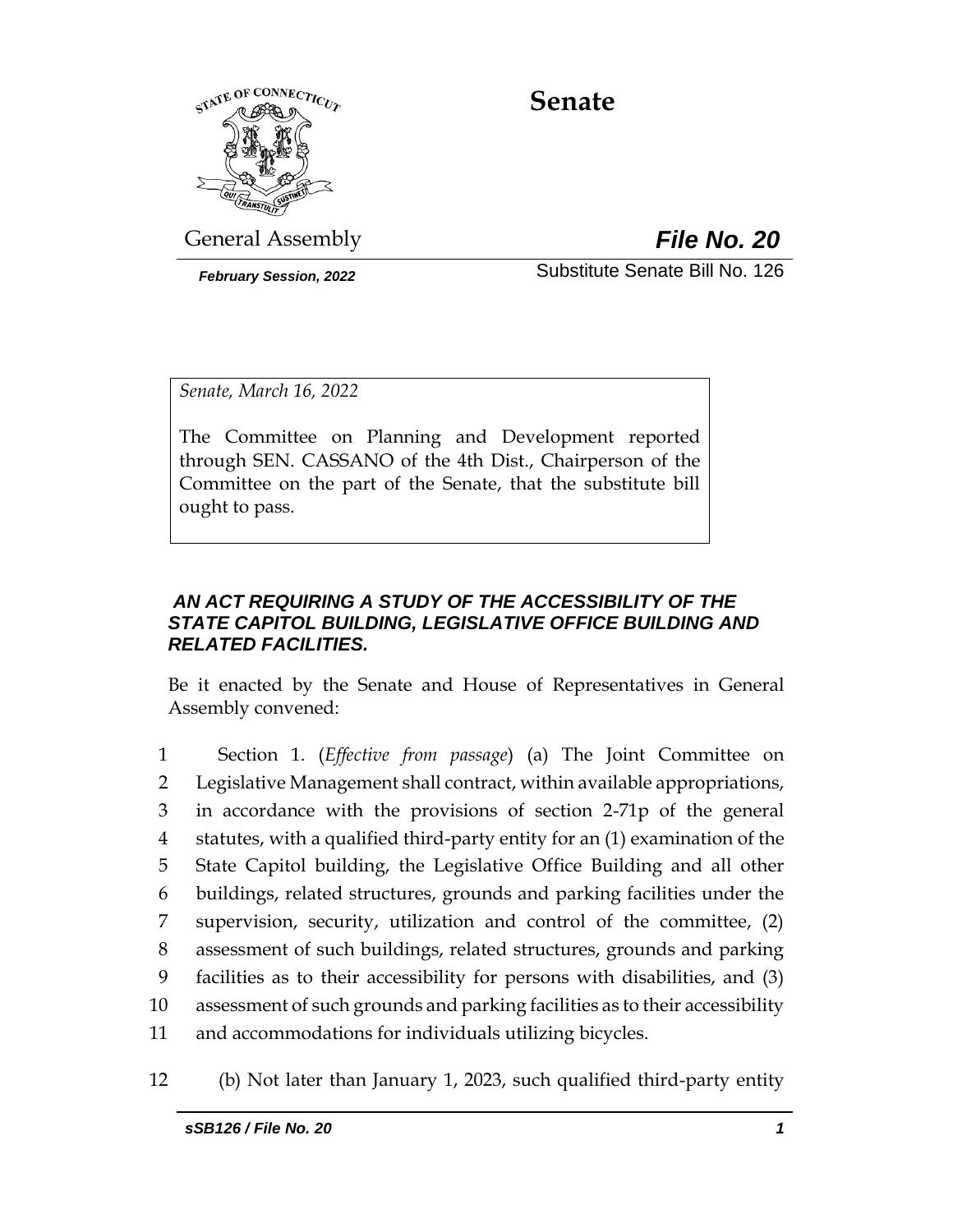

# **Senate**

General Assembly *File No. 20*

*February Session, 2022* Substitute Senate Bill No. 126

*Senate, March 16, 2022*

The Committee on Planning and Development reported through SEN. CASSANO of the 4th Dist., Chairperson of the Committee on the part of the Senate, that the substitute bill ought to pass.

### *AN ACT REQUIRING A STUDY OF THE ACCESSIBILITY OF THE STATE CAPITOL BUILDING, LEGISLATIVE OFFICE BUILDING AND RELATED FACILITIES.*

Be it enacted by the Senate and House of Representatives in General Assembly convened:

 Section 1. (*Effective from passage*) (a) The Joint Committee on Legislative Management shall contract, within available appropriations, in accordance with the provisions of section 2-71p of the general statutes, with a qualified third-party entity for an (1) examination of the State Capitol building, the Legislative Office Building and all other buildings, related structures, grounds and parking facilities under the supervision, security, utilization and control of the committee, (2) assessment of such buildings, related structures, grounds and parking facilities as to their accessibility for persons with disabilities, and (3) assessment of such grounds and parking facilities as to their accessibility and accommodations for individuals utilizing bicycles.

12 (b) Not later than January 1, 2023, such qualified third-party entity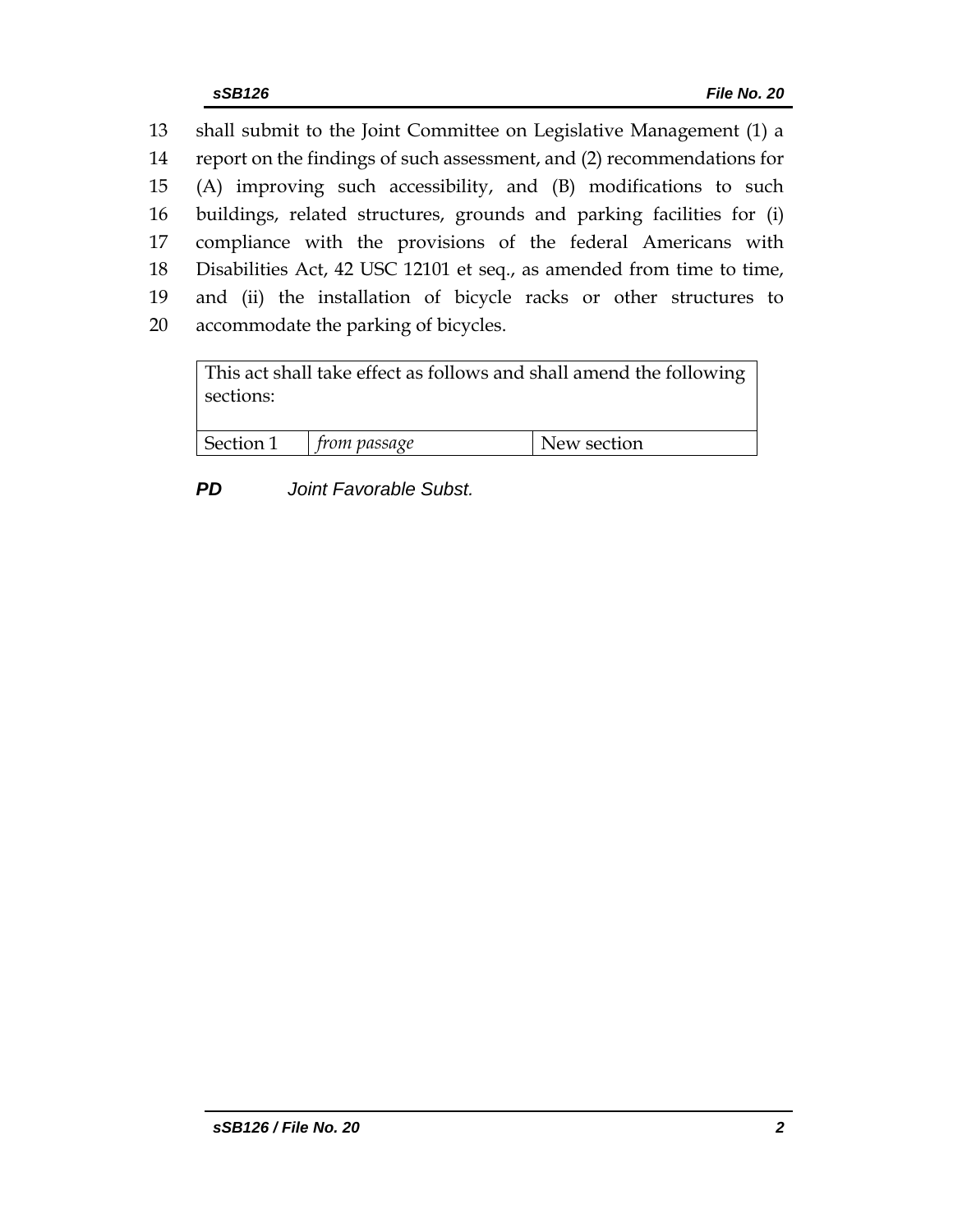shall submit to the Joint Committee on Legislative Management (1) a report on the findings of such assessment, and (2) recommendations for (A) improving such accessibility, and (B) modifications to such buildings, related structures, grounds and parking facilities for (i) compliance with the provisions of the federal Americans with Disabilities Act, 42 USC 12101 et seq., as amended from time to time, and (ii) the installation of bicycle racks or other structures to accommodate the parking of bicycles.

This act shall take effect as follows and shall amend the following sections: Section 1 *from passage* New section

*PD Joint Favorable Subst.*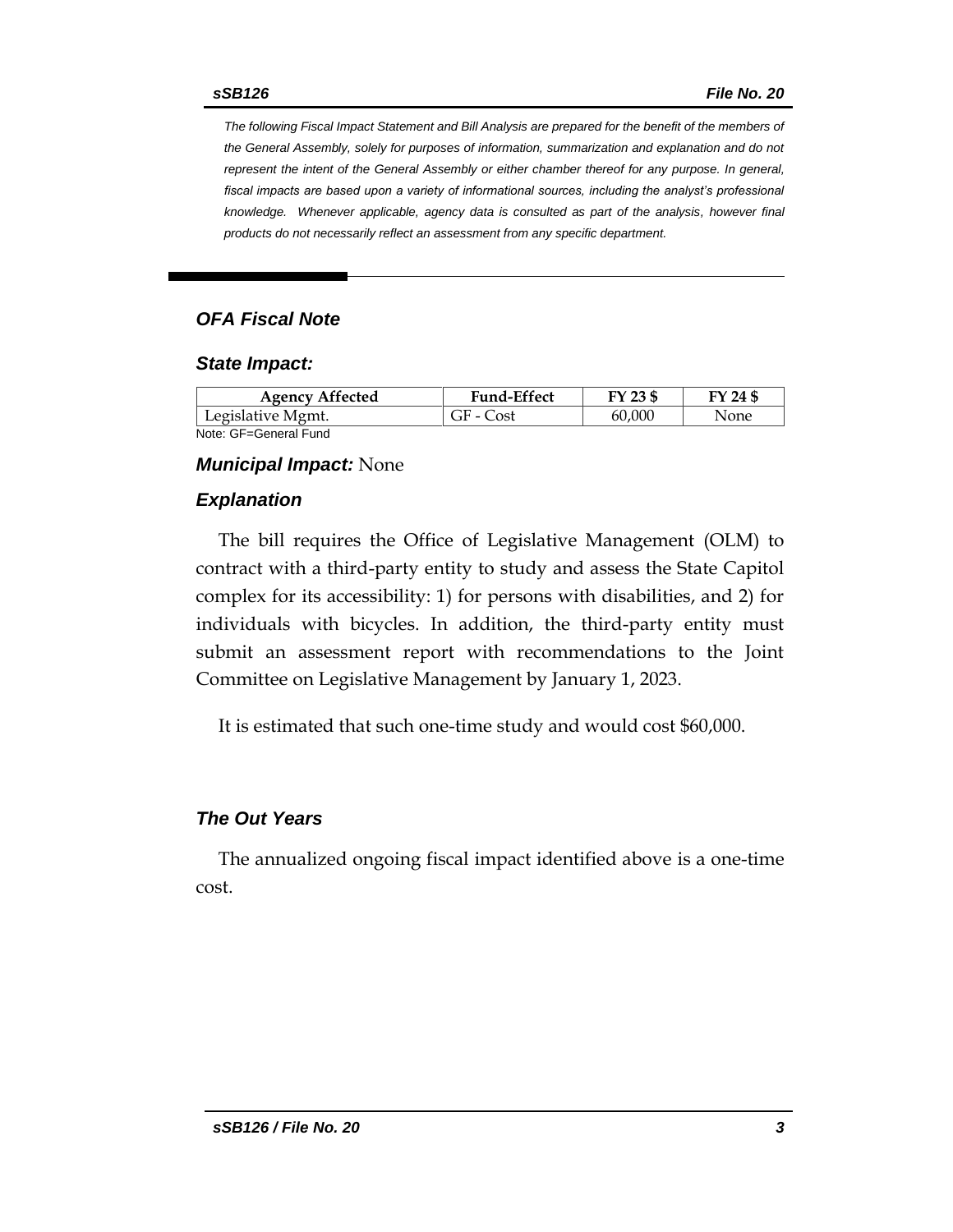*The following Fiscal Impact Statement and Bill Analysis are prepared for the benefit of the members of the General Assembly, solely for purposes of information, summarization and explanation and do not represent the intent of the General Assembly or either chamber thereof for any purpose. In general,*  fiscal impacts are based upon a variety of informational sources, including the analyst's professional *knowledge. Whenever applicable, agency data is consulted as part of the analysis, however final products do not necessarily reflect an assessment from any specific department.*

### *OFA Fiscal Note*

#### *State Impact:*

| <b>Agency Affected</b> | <b>Fund-Effect</b> | FY 23 \$ | FY 24 \$ |
|------------------------|--------------------|----------|----------|
| Legislative Mgmt.      | GF - Cost          | 60.000   | None     |
| Note: GF=General Fund  |                    |          |          |

#### *Municipal Impact:* None

#### *Explanation*

The bill requires the Office of Legislative Management (OLM) to contract with a third-party entity to study and assess the State Capitol complex for its accessibility: 1) for persons with disabilities, and 2) for individuals with bicycles. In addition, the third-party entity must submit an assessment report with recommendations to the Joint Committee on Legislative Management by January 1, 2023.

It is estimated that such one-time study and would cost \$60,000.

#### *The Out Years*

The annualized ongoing fiscal impact identified above is a one-time cost.